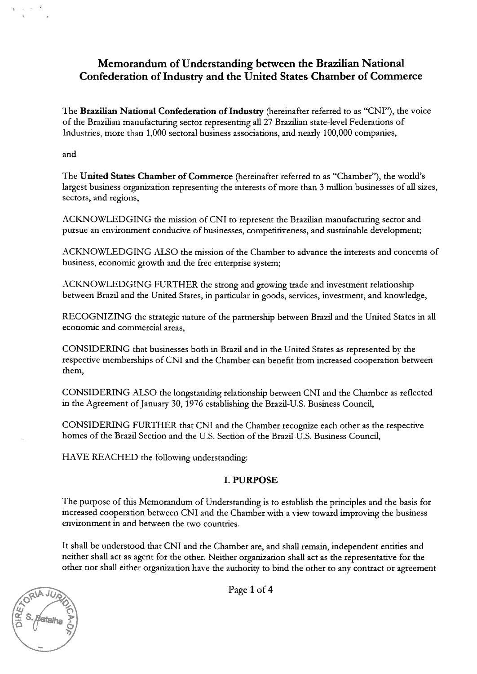# Memorandum of Understanding between the Brazilian National Confederation of Industry and the United States Chamber of Commerce

The Brazilian National Confederation of Industry (hereinafter referred to as "CNI"), the voice of the Brazilian manufacturing sector representing all 27 Brazilian state-level Federations of Industries, more than 1,000 sectoral business associations, and nearly 100,000 companies,

and

The United States Chamber of Commerce (hereinafter referred to as "Chamber"), the world's largest business organization representing the interests of more than <sup>3</sup> million businesses of all sizes, sectors, and regions,

ACKNOWLEDGING the mission of CNI to represent the Brazilian manufacturing sector and pursue an environment conducive of businesses, competitiveness, and sustainable development;

ACKNOWLEDGING ALSO the mission of the Chamber to advance the interests and concerns of business, economic growth and the free enterprise system;

ACKNOWLEDGING FURTHER the strong and growing trade and investment relationship between Brazil and the United States, in particular in goods, services, investment, and knowledge,

RECOGNIZING the strategic nature of the partnership between Brazil and the United States in all economic and commercial areas,

CONSIDERING that businesses both in Brazil and in the United States as represented by the respective memberships of CNI and the Chamber can benefit from increased cooperation between them,

CONSIDERING ALSO the longstanding relationship between CNI and the Chamber as reflected in the Agreement of January 30, 1976 establishing the Brazil-U.S. Business Council,

CONSIDERING FURTHER that CNI and the Chamber recognize each other as the respective homes of the Brazil Section and the U.S. Section of the Brazil-L.S. Busmess Council,

HAVE REACHED the following understanding:

#### I. PURPOSE

The purpose of this Memorandum of Understanding is to establish the principles and the basis for increased cooperation between CNI and the Chamber with <sup>a</sup> view toward improving the business environment in and between the two countries.

It shall be understood that CNI and the Chamber are, and shall remain, independent entities and neither shall act as agent for the other. Neither organization shall act as the representative for the other nor shall either organization have the authority to bind the other to any contract or agreement

Page 1 of 4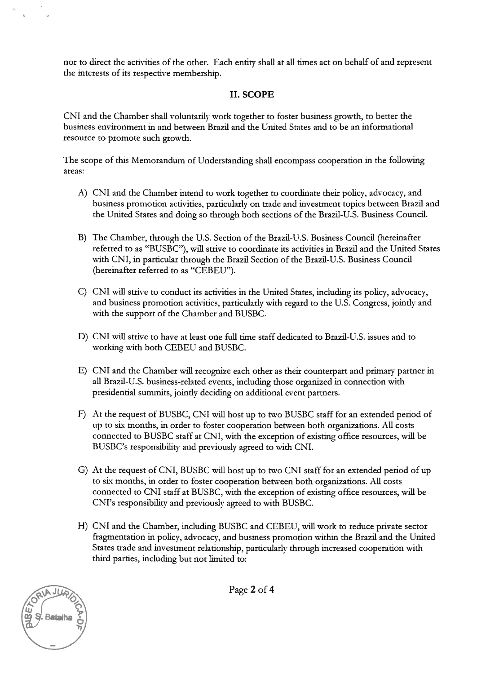nor to direct the activities of the other. Each entity shall at all times act on behalf of and represent the interests of its respective membership.

### II. SCOPE

CXI and the Chamber shall voluntarily work together to foster business growth, to better the business environment in and between Brazil and the United States and to be an informational resource to promote such growth.

Ihe scope of this Memorandum of Understanding shall encompass cooperation in the following areas:

- A) CXI and the Chamber intend to work together to coordinate their policy, advocacy, and business promotion activities, particularly on trade and investment topics between Brazil and the United States and doing so through both sections of the Brazil-U.S. Business Council.
- B) Ihe Chamber, through the U.S. Section of the Brazil-U.S. Business Council (hereinafter referred to as "BUSBC"), wifi strive to coordinate its activities in Brazil and the United States with CXI, in particular through the Brazil Section of the Brazil-U.S. Business Council (hereinafter referred to as "CEBEU").
- C) CXI vill strive to conduct its activities in the United States, including its policy, advocacy, and business promotion activities, particularly with regard to the U.S. Congress, jointly and with the support of the Chamber and BUSBC.
- D) CXI will strive to have at least one frill time staff dedicated to Brazil-U.S. issues and to working with both CEBEL and BUSBC.
- E) CXI and the Chamber will recognize each other as their counterpart and primary partner in all Brazil-U.S. business-related events, including those organized in connection with presidential summits, jointly deciding on additional event partners.
- F) At the request of BUSBC, CNI will host up to two BUSBC staff for an extended period of up to six months, in order to foster cooperation between both organizations. All costs connected to BUSBC staff at CXI, with the exception of existing office resources, will be BUSBC's responsibility and previously agreed to with CNI.
- G) At the request of CNI, BUSBC will host up to two CNI staff for an extended period of up to six months, in order to foster cooperation between both organizations. All costs connected to CXI staff at BLSBC, with the exception of existing office resources, wiil be CM's responsibility and previously agreed to with BUSBC.
- 11) CXI and the Chamber, including BUSBC and CEBEU, will work to reduce private sector fragmentation in policy, advocacy, and business promotion within the Brazil and the United States trade and investment relationship, particularly through increased cooperation with third parties, including but not limited to:



Page 2 of 4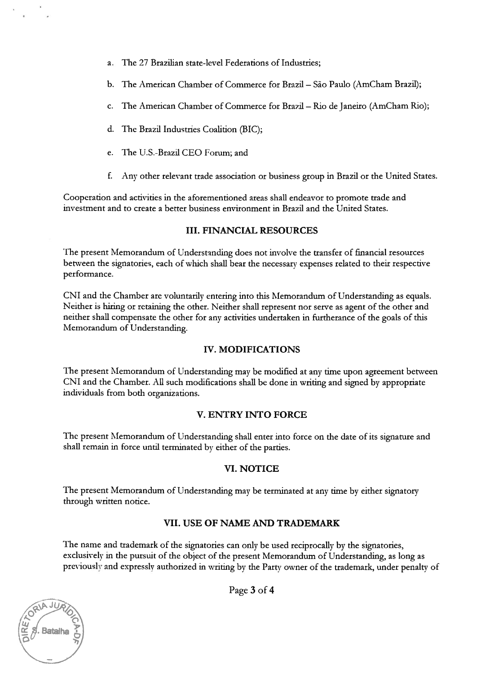- a. The 27 Brazilian state-level Federations of Industries;
- b. The American Chamber of Commerce for Brazil São Paulo (AmCham Brazil);
- c. The American Chamber of Commerce for Brazil Rio de Janeiro (AmCham Rio);
- d. The Brazil Industries Coalition (BIC);
- e. The U.S.-Brazil CEO Forum; and
- f. Any other relevant trade association or business group in Brazil or the United States.

Cooperation and activities in the aforementioned areas shall endeavor to promote trade and investment and to create a better business environment in Brazil and the United States.

#### III. FINANCIAL RESOURCES

The present Memorandum of Understanding does not involve the transfer of financial resources between the signatories, each of which shall bear the necessary expenses related to their respective performance.

CN1 and the Chamber are voluntarily entering into this Memorandum of Understanding as equals. Neither is hiring or retaining the other. Neither shall represent nor serve as agent of the other and neither shall compensate the other for any activities undertaken in furtherance of the goals of this Memorandum of Understanding.

#### IV. MODIFICATIONS

The present Memorandum of Understanding may be modified at any time upon agreement between CNI and the Chamber. All such modifications shall be done in writing and signed by appropriate individuals from both organizations.

#### **V. ENTRY INTO FORCE**

The present Memorandum of Understanding shall enter into force on the date of its signature and shall remain in force until terminated by either of the parties.

## VI. NOTICE

The present Memorandum of Understanding may be terminated at any time by either signatory through written notice.

#### VII. USE OF NAME AND TRADEMARK

The name and trademark of the signatories can only be used reciprocally by the signatories, exclusively in the pursuit of the object of the present Memorandum of Understanding, as long as previously and expressly authorized in writing by the Party owner of the trademark, under penalty of

Page 3 of 4